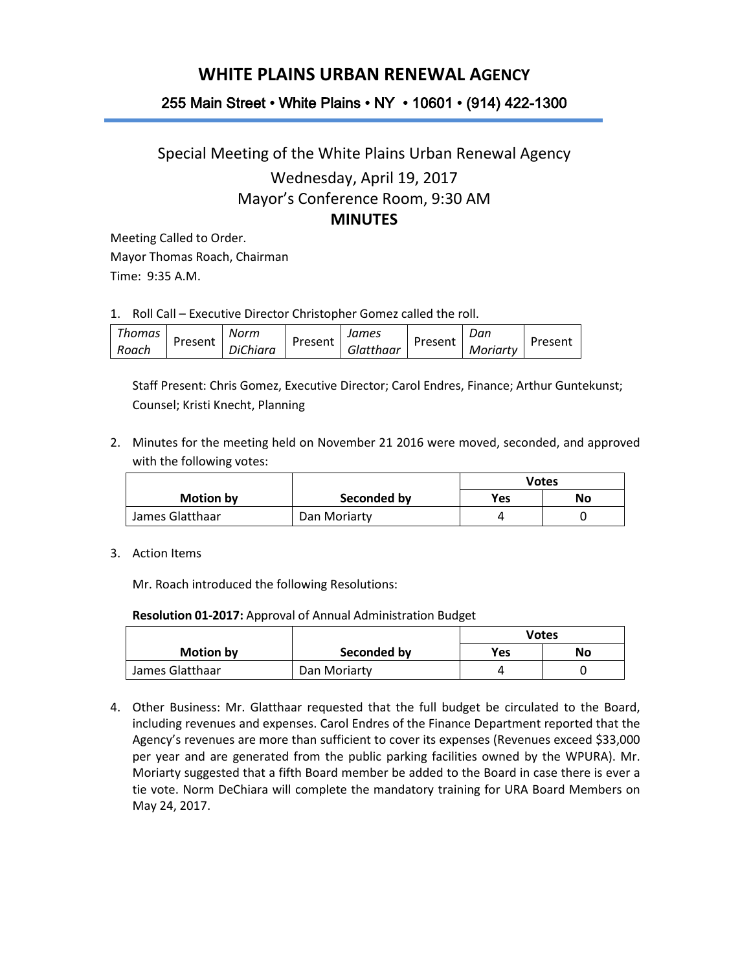## **WHITE PLAINS URBAN RENEWAL AGENCY**

## 255 Main Street • White Plains • NY • 10601 • (914) 422-1300

## Special Meeting of the White Plains Urban Renewal Agency Wednesday, April 19, 2017 Mayor's Conference Room, 9:30 AM **MINUTES**

Meeting Called to Order. Mayor Thomas Roach, Chairman Time: 9:35 A.M.

1. Roll Call – Executive Director Christopher Gomez called the roll.

| Thomas | Present | Norm            | Present | James     | Present | Dan      | Present |
|--------|---------|-----------------|---------|-----------|---------|----------|---------|
| Roach  |         | <b>DiChiara</b> |         | Glatthaar |         | Moriarty |         |

Staff Present: Chris Gomez, Executive Director; Carol Endres, Finance; Arthur Guntekunst; Counsel; Kristi Knecht, Planning

2. Minutes for the meeting held on November 21 2016 were moved, seconded, and approved with the following votes:

|                  |              | Votes      |    |
|------------------|--------------|------------|----|
| <b>Motion by</b> | Seconded by  | <b>Yes</b> | No |
| James Glatthaar  | Dan Moriarty |            |    |

3. Action Items

Mr. Roach introduced the following Resolutions:

**Resolution 01-2017:** Approval of Annual Administration Budget

|                  |              | <b>Votes</b> |    |
|------------------|--------------|--------------|----|
| <b>Motion by</b> | Seconded by  | Yes          | No |
| James Glatthaar  | Dan Moriarty |              |    |

4. Other Business: Mr. Glatthaar requested that the full budget be circulated to the Board, including revenues and expenses. Carol Endres of the Finance Department reported that the Agency's revenues are more than sufficient to cover its expenses (Revenues exceed \$33,000 per year and are generated from the public parking facilities owned by the WPURA). Mr. Moriarty suggested that a fifth Board member be added to the Board in case there is ever a tie vote. Norm DeChiara will complete the mandatory training for URA Board Members on May 24, 2017.